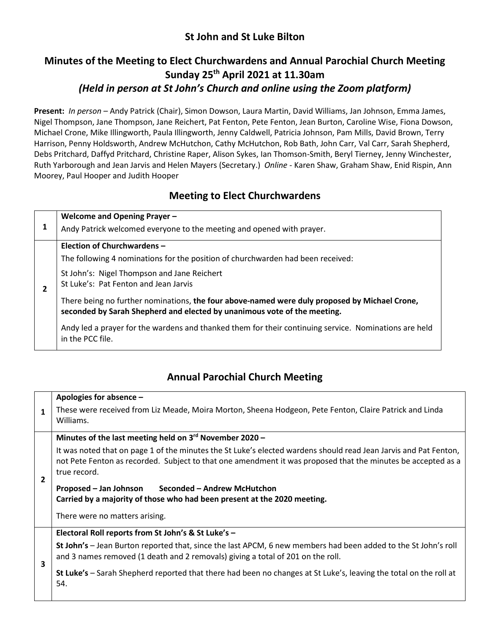### **St John and St Luke Bilton**

## **Minutes of the Meeting to Elect Churchwardens and Annual Parochial Church Meeting Sunday 25th April 2021 at 11.30am** *(Held in person at St John's Church and online using the Zoom platform)*

**Present:** *In person –* Andy Patrick (Chair), Simon Dowson, Laura Martin, David Williams, Jan Johnson, Emma James, Nigel Thompson, Jane Thompson, Jane Reichert, Pat Fenton, Pete Fenton, Jean Burton, Caroline Wise, Fiona Dowson, Michael Crone, Mike Illingworth, Paula Illingworth, Jenny Caldwell, Patricia Johnson, Pam Mills, David Brown, Terry Harrison, Penny Holdsworth, Andrew McHutchon, Cathy McHutchon, Rob Bath, John Carr, Val Carr, Sarah Shepherd, Debs Pritchard, Daffyd Pritchard, Christine Raper, Alison Sykes, Ian Thomson-Smith, Beryl Tierney, Jenny Winchester, Ruth Yarborough and Jean Jarvis and Helen Mayers (Secretary.) *Online -* Karen Shaw, Graham Shaw, Enid Rispin, Ann Moorey, Paul Hooper and Judith Hooper

### **Meeting to Elect Churchwardens**

| 2 | Welcome and Opening Prayer -                                                                                                                                              |
|---|---------------------------------------------------------------------------------------------------------------------------------------------------------------------------|
|   | Andy Patrick welcomed everyone to the meeting and opened with prayer.                                                                                                     |
|   | Election of Churchwardens -                                                                                                                                               |
|   | The following 4 nominations for the position of churchwarden had been received:                                                                                           |
|   | St John's: Nigel Thompson and Jane Reichert<br>St Luke's: Pat Fenton and Jean Jarvis                                                                                      |
|   | There being no further nominations, the four above-named were duly proposed by Michael Crone,<br>seconded by Sarah Shepherd and elected by unanimous vote of the meeting. |
|   | Andy led a prayer for the wardens and thanked them for their continuing service. Nominations are held<br>in the PCC file.                                                 |

## **Annual Parochial Church Meeting**

|                | Apologies for absence -                                                                                                                                                                                                                          |
|----------------|--------------------------------------------------------------------------------------------------------------------------------------------------------------------------------------------------------------------------------------------------|
| $\mathbf{1}$   | These were received from Liz Meade, Moira Morton, Sheena Hodgeon, Pete Fenton, Claire Patrick and Linda<br>Williams.                                                                                                                             |
| $\overline{2}$ | Minutes of the last meeting held on 3rd November 2020 -                                                                                                                                                                                          |
|                | It was noted that on page 1 of the minutes the St Luke's elected wardens should read Jean Jarvis and Pat Fenton,<br>not Pete Fenton as recorded. Subject to that one amendment it was proposed that the minutes be accepted as a<br>true record. |
|                | Proposed – Jan Johnson<br>Seconded – Andrew McHutchon                                                                                                                                                                                            |
|                | Carried by a majority of those who had been present at the 2020 meeting.                                                                                                                                                                         |
|                | There were no matters arising.                                                                                                                                                                                                                   |
| 3              | Electoral Roll reports from St John's & St Luke's -                                                                                                                                                                                              |
|                | St John's - Jean Burton reported that, since the last APCM, 6 new members had been added to the St John's roll<br>and 3 names removed (1 death and 2 removals) giving a total of 201 on the roll.                                                |
|                | St Luke's - Sarah Shepherd reported that there had been no changes at St Luke's, leaving the total on the roll at<br>54.                                                                                                                         |
|                |                                                                                                                                                                                                                                                  |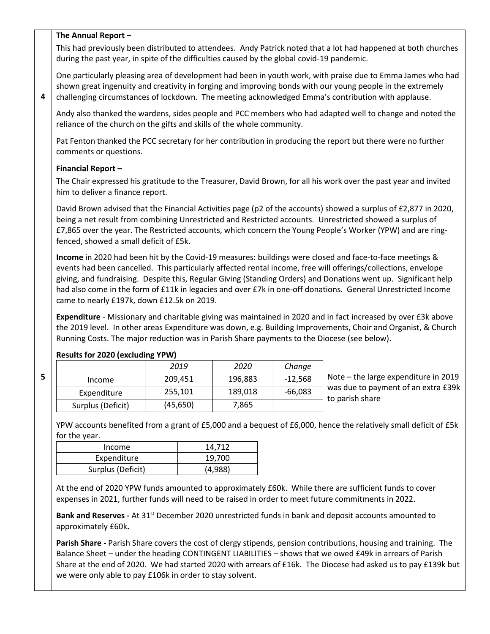### **The Annual Report –**

This had previously been distributed to attendees. Andy Patrick noted that a lot had happened at both churches during the past year, in spite of the difficulties caused by the global covid-19 pandemic.

One particularly pleasing area of development had been in youth work, with praise due to Emma James who had shown great ingenuity and creativity in forging and improving bonds with our young people in the extremely challenging circumstances of lockdown. The meeting acknowledged Emma's contribution with applause.

Andy also thanked the wardens, sides people and PCC members who had adapted well to change and noted the reliance of the church on the gifts and skills of the whole community.

Pat Fenton thanked the PCC secretary for her contribution in producing the report but there were no further comments or questions.

#### **Financial Report –**

**4**

**5**

The Chair expressed his gratitude to the Treasurer, David Brown, for all his work over the past year and invited him to deliver a finance report.

David Brown advised that the Financial Activities page (p2 of the accounts) showed a surplus of £2,877 in 2020, being a net result from combining Unrestricted and Restricted accounts. Unrestricted showed a surplus of £7,865 over the year. The Restricted accounts, which concern the Young People's Worker (YPW) and are ringfenced, showed a small deficit of £5k.

**Income** in 2020 had been hit by the Covid-19 measures: buildings were closed and face-to-face meetings & events had been cancelled. This particularly affected rental income, free will offerings/collections, envelope giving, and fundraising. Despite this, Regular Giving (Standing Orders) and Donations went up. Significant help had also come in the form of £11k in legacies and over £7k in one-off donations. General Unrestricted Income came to nearly £197k, down £12.5k on 2019.

**Expenditure** - Missionary and charitable giving was maintained in 2020 and in fact increased by over £3k above the 2019 level. In other areas Expenditure was down, e.g. Building Improvements, Choir and Organist, & Church Running Costs. The major reduction was in Parish Share payments to the Diocese (see below).

### **Results for 2020 (excluding YPW)**

|                   | 2019      | 2020    | Change    |
|-------------------|-----------|---------|-----------|
| Income            | 209,451   | 196,883 | $-12,568$ |
| Expenditure       | 255,101   | 189,018 | -66,083   |
| Surplus (Deficit) | (45, 650) | 7,865   |           |

Note – the large expenditure in 2019 was due to payment of an extra £39k to parish share

YPW accounts benefited from a grant of £5,000 and a bequest of £6,000, hence the relatively small deficit of £5k for the year.

| Income            | 14.712  |
|-------------------|---------|
| Expenditure       | 19,700  |
| Surplus (Deficit) | (4,988) |

At the end of 2020 YPW funds amounted to approximately £60k. While there are sufficient funds to cover expenses in 2021, further funds will need to be raised in order to meet future commitments in 2022.

**Bank and Reserves -** At 31st December 2020 unrestricted funds in bank and deposit accounts amounted to approximately £60k**.**

**Parish Share -** Parish Share covers the cost of clergy stipends, pension contributions, housing and training.The Balance Sheet – under the heading CONTINGENT LIABILITIES – shows that we owed £49k in arrears of Parish Share at the end of 2020. We had started 2020 with arrears of £16k. The Diocese had asked us to pay £139k but we were only able to pay £106k in order to stay solvent.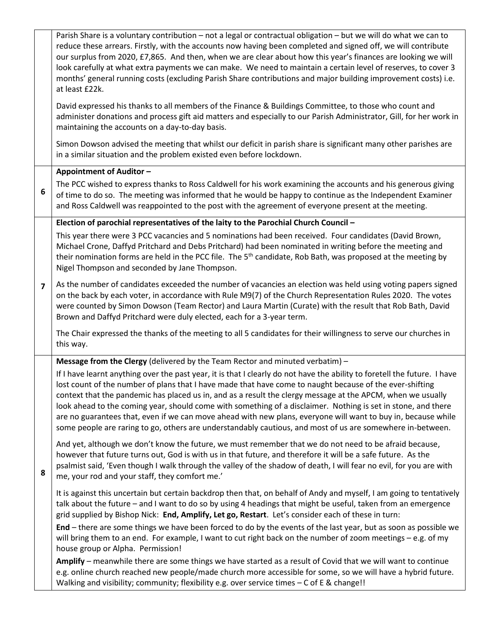|                         | Parish Share is a voluntary contribution - not a legal or contractual obligation - but we will do what we can to<br>reduce these arrears. Firstly, with the accounts now having been completed and signed off, we will contribute<br>our surplus from 2020, £7,865. And then, when we are clear about how this year's finances are looking we will<br>look carefully at what extra payments we can make. We need to maintain a certain level of reserves, to cover 3<br>months' general running costs (excluding Parish Share contributions and major building improvement costs) i.e.<br>at least £22k.                                                                                             |
|-------------------------|------------------------------------------------------------------------------------------------------------------------------------------------------------------------------------------------------------------------------------------------------------------------------------------------------------------------------------------------------------------------------------------------------------------------------------------------------------------------------------------------------------------------------------------------------------------------------------------------------------------------------------------------------------------------------------------------------|
|                         | David expressed his thanks to all members of the Finance & Buildings Committee, to those who count and<br>administer donations and process gift aid matters and especially to our Parish Administrator, Gill, for her work in<br>maintaining the accounts on a day-to-day basis.                                                                                                                                                                                                                                                                                                                                                                                                                     |
|                         | Simon Dowson advised the meeting that whilst our deficit in parish share is significant many other parishes are<br>in a similar situation and the problem existed even before lockdown.                                                                                                                                                                                                                                                                                                                                                                                                                                                                                                              |
|                         | Appointment of Auditor -                                                                                                                                                                                                                                                                                                                                                                                                                                                                                                                                                                                                                                                                             |
| 6                       | The PCC wished to express thanks to Ross Caldwell for his work examining the accounts and his generous giving<br>of time to do so. The meeting was informed that he would be happy to continue as the Independent Examiner<br>and Ross Caldwell was reappointed to the post with the agreement of everyone present at the meeting.                                                                                                                                                                                                                                                                                                                                                                   |
|                         | Election of parochial representatives of the laity to the Parochial Church Council -                                                                                                                                                                                                                                                                                                                                                                                                                                                                                                                                                                                                                 |
|                         | This year there were 3 PCC vacancies and 5 nominations had been received. Four candidates (David Brown,<br>Michael Crone, Daffyd Pritchard and Debs Pritchard) had been nominated in writing before the meeting and<br>their nomination forms are held in the PCC file. The 5 <sup>th</sup> candidate, Rob Bath, was proposed at the meeting by<br>Nigel Thompson and seconded by Jane Thompson.                                                                                                                                                                                                                                                                                                     |
| $\overline{\mathbf{z}}$ | As the number of candidates exceeded the number of vacancies an election was held using voting papers signed<br>on the back by each voter, in accordance with Rule M9(7) of the Church Representation Rules 2020. The votes<br>were counted by Simon Dowson (Team Rector) and Laura Martin (Curate) with the result that Rob Bath, David<br>Brown and Daffyd Pritchard were duly elected, each for a 3-year term.                                                                                                                                                                                                                                                                                    |
|                         | The Chair expressed the thanks of the meeting to all 5 candidates for their willingness to serve our churches in<br>this way.                                                                                                                                                                                                                                                                                                                                                                                                                                                                                                                                                                        |
|                         | Message from the Clergy (delivered by the Team Rector and minuted verbatim) -                                                                                                                                                                                                                                                                                                                                                                                                                                                                                                                                                                                                                        |
|                         | If I have learnt anything over the past year, it is that I clearly do not have the ability to foretell the future. I have<br>lost count of the number of plans that I have made that have come to naught because of the ever-shifting<br>context that the pandemic has placed us in, and as a result the clergy message at the APCM, when we usually<br>look ahead to the coming year, should come with something of a disclaimer. Nothing is set in stone, and there<br>are no guarantees that, even if we can move ahead with new plans, everyone will want to buy in, because while<br>some people are raring to go, others are understandably cautious, and most of us are somewhere in-between. |
| 8                       | And yet, although we don't know the future, we must remember that we do not need to be afraid because,<br>however that future turns out, God is with us in that future, and therefore it will be a safe future. As the<br>psalmist said, 'Even though I walk through the valley of the shadow of death, I will fear no evil, for you are with<br>me, your rod and your staff, they comfort me.'                                                                                                                                                                                                                                                                                                      |
|                         | It is against this uncertain but certain backdrop then that, on behalf of Andy and myself, I am going to tentatively<br>talk about the future - and I want to do so by using 4 headings that might be useful, taken from an emergence<br>grid supplied by Bishop Nick: End, Amplify, Let go, Restart. Let's consider each of these in turn:                                                                                                                                                                                                                                                                                                                                                          |
|                         | End – there are some things we have been forced to do by the events of the last year, but as soon as possible we<br>will bring them to an end. For example, I want to cut right back on the number of zoom meetings - e.g. of my<br>house group or Alpha. Permission!                                                                                                                                                                                                                                                                                                                                                                                                                                |
|                         | Amplify - meanwhile there are some things we have started as a result of Covid that we will want to continue<br>e.g. online church reached new people/made church more accessible for some, so we will have a hybrid future.<br>Walking and visibility; community; flexibility e.g. over service times - C of E & change!!                                                                                                                                                                                                                                                                                                                                                                           |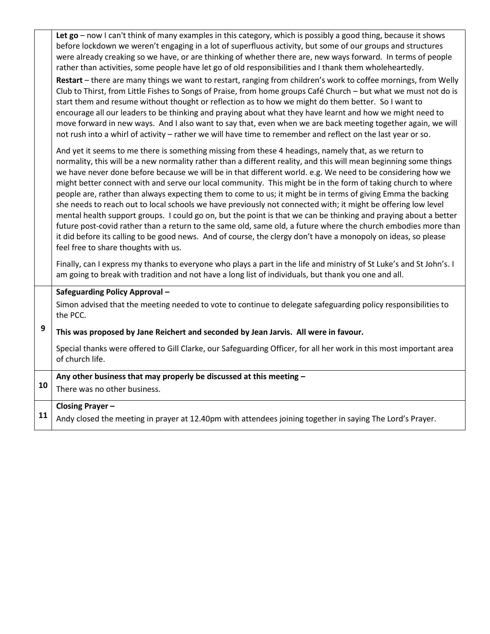|    | Let go - now I can't think of many examples in this category, which is possibly a good thing, because it shows<br>before lockdown we weren't engaging in a lot of superfluous activity, but some of our groups and structures<br>were already creaking so we have, or are thinking of whether there are, new ways forward. In terms of people<br>rather than activities, some people have let go of old responsibilities and I thank them wholeheartedly.<br>Restart - there are many things we want to restart, ranging from children's work to coffee mornings, from Welly<br>Club to Thirst, from Little Fishes to Songs of Praise, from home groups Café Church - but what we must not do is<br>start them and resume without thought or reflection as to how we might do them better. So I want to<br>encourage all our leaders to be thinking and praying about what they have learnt and how we might need to<br>move forward in new ways. And I also want to say that, even when we are back meeting together again, we will<br>not rush into a whirl of activity - rather we will have time to remember and reflect on the last year or so. |
|----|------------------------------------------------------------------------------------------------------------------------------------------------------------------------------------------------------------------------------------------------------------------------------------------------------------------------------------------------------------------------------------------------------------------------------------------------------------------------------------------------------------------------------------------------------------------------------------------------------------------------------------------------------------------------------------------------------------------------------------------------------------------------------------------------------------------------------------------------------------------------------------------------------------------------------------------------------------------------------------------------------------------------------------------------------------------------------------------------------------------------------------------------------|
|    | And yet it seems to me there is something missing from these 4 headings, namely that, as we return to<br>normality, this will be a new normality rather than a different reality, and this will mean beginning some things<br>we have never done before because we will be in that different world. e.g. We need to be considering how we<br>might better connect with and serve our local community. This might be in the form of taking church to where<br>people are, rather than always expecting them to come to us; it might be in terms of giving Emma the backing<br>she needs to reach out to local schools we have previously not connected with; it might be offering low level<br>mental health support groups. I could go on, but the point is that we can be thinking and praying about a better<br>future post-covid rather than a return to the same old, same old, a future where the church embodies more than<br>it did before its calling to be good news. And of course, the clergy don't have a monopoly on ideas, so please<br>feel free to share thoughts with us.                                                           |
|    | Finally, can I express my thanks to everyone who plays a part in the life and ministry of St Luke's and St John's. I<br>am going to break with tradition and not have a long list of individuals, but thank you one and all.                                                                                                                                                                                                                                                                                                                                                                                                                                                                                                                                                                                                                                                                                                                                                                                                                                                                                                                         |
|    | <b>Safeguarding Policy Approval -</b>                                                                                                                                                                                                                                                                                                                                                                                                                                                                                                                                                                                                                                                                                                                                                                                                                                                                                                                                                                                                                                                                                                                |
|    | Simon advised that the meeting needed to vote to continue to delegate safeguarding policy responsibilities to<br>the PCC.                                                                                                                                                                                                                                                                                                                                                                                                                                                                                                                                                                                                                                                                                                                                                                                                                                                                                                                                                                                                                            |
| 9  | This was proposed by Jane Reichert and seconded by Jean Jarvis. All were in favour.                                                                                                                                                                                                                                                                                                                                                                                                                                                                                                                                                                                                                                                                                                                                                                                                                                                                                                                                                                                                                                                                  |
|    | Special thanks were offered to Gill Clarke, our Safeguarding Officer, for all her work in this most important area<br>of church life.                                                                                                                                                                                                                                                                                                                                                                                                                                                                                                                                                                                                                                                                                                                                                                                                                                                                                                                                                                                                                |
|    | Any other business that may properly be discussed at this meeting -                                                                                                                                                                                                                                                                                                                                                                                                                                                                                                                                                                                                                                                                                                                                                                                                                                                                                                                                                                                                                                                                                  |
| 10 | There was no other business.                                                                                                                                                                                                                                                                                                                                                                                                                                                                                                                                                                                                                                                                                                                                                                                                                                                                                                                                                                                                                                                                                                                         |
|    | <b>Closing Prayer-</b>                                                                                                                                                                                                                                                                                                                                                                                                                                                                                                                                                                                                                                                                                                                                                                                                                                                                                                                                                                                                                                                                                                                               |
| 11 | Andy closed the meeting in prayer at 12.40pm with attendees joining together in saying The Lord's Prayer.                                                                                                                                                                                                                                                                                                                                                                                                                                                                                                                                                                                                                                                                                                                                                                                                                                                                                                                                                                                                                                            |
|    |                                                                                                                                                                                                                                                                                                                                                                                                                                                                                                                                                                                                                                                                                                                                                                                                                                                                                                                                                                                                                                                                                                                                                      |